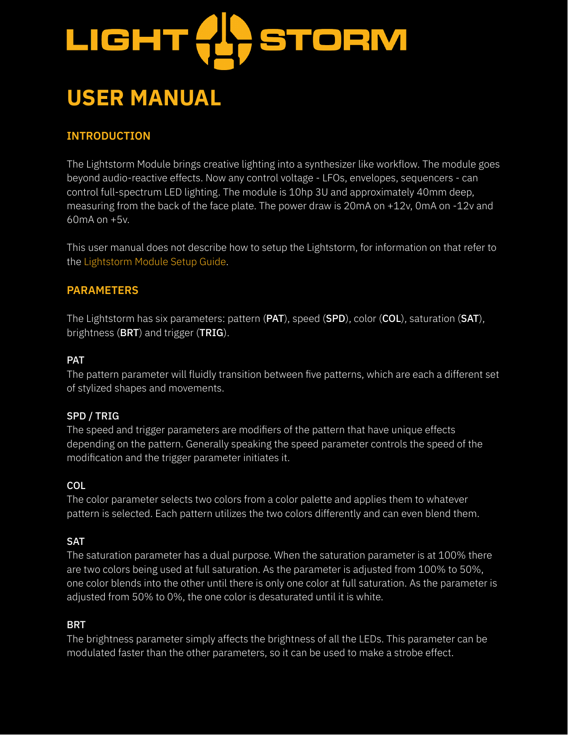

# **USER MANUAL**

# **INTRODUCTION**

The Lightstorm Module brings creative lighting into a synthesizer like workflow. The module goes beyond audio-reactive effects. Now any control voltage - LFOs, envelopes, sequencers - can control full-spectrum LED lighting. The module is 10hp 3U and approximately 40mm deep, measuring from the back of the face plate. The power draw is 20mA on +12v, 0mA on -12v and 60mA on +5v.

This user manual does not describe how to setup the Lightstorm, for information on that refer to the Lightstorm Module Setup Guide.

# **PARAMETERS**

The Lightstorm has six parameters: pattern (PAT), speed (SPD), color (COL), saturation (SAT), brightness (BRT) and trigger (TRIG).

#### PAT

The pattern parameter will fluidly transition between five patterns, which are each a different set of stylized shapes and movements.

#### SPD / TRIG

The speed and trigger parameters are modifiers of the pattern that have unique effects depending on the pattern. Generally speaking the speed parameter controls the speed of the modification and the trigger parameter initiates it.

#### **COL**

The color parameter selects two colors from a color palette and applies them to whatever pattern is selected. Each pattern utilizes the two colors differently and can even blend them.

#### SAT

The saturation parameter has a dual purpose. When the saturation parameter is at 100% there are two colors being used at full saturation. As the parameter is adjusted from 100% to 50%, one color blends into the other until there is only one color at full saturation. As the parameter is adjusted from 50% to 0%, the one color is desaturated until it is white.

#### BRT

The brightness parameter simply affects the brightness of all the LEDs. This parameter can be modulated faster than the other parameters, so it can be used to make a strobe effect.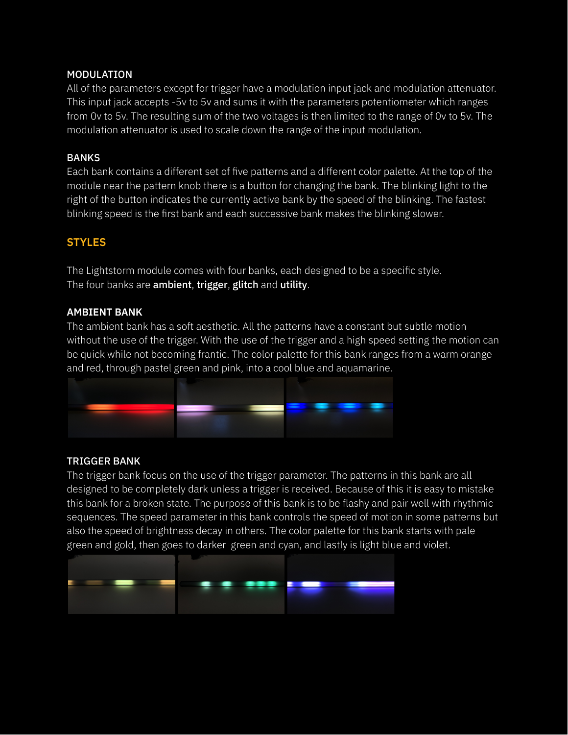#### MODULATION

All of the parameters except for trigger have a modulation input jack and modulation attenuator. This input jack accepts -5v to 5v and sums it with the parameters potentiometer which ranges from 0v to 5v. The resulting sum of the two voltages is then limited to the range of 0v to 5v. The modulation attenuator is used to scale down the range of the input modulation.

#### BANKS

Each bank contains a different set of five patterns and a different color palette. At the top of the module near the pattern knob there is a button for changing the bank. The blinking light to the right of the button indicates the currently active bank by the speed of the blinking. The fastest blinking speed is the first bank and each successive bank makes the blinking slower.

# **STYLES**

The Lightstorm module comes with four banks, each designed to be a specific style. The four banks are **ambient, trigger, glitch** and utility.

#### **AMBIENT BANK**

The ambient bank has a soft aesthetic. All the patterns have a constant but subtle motion without the use of the trigger. With the use of the trigger and a high speed setting the motion can be quick while not becoming frantic. The color palette for this bank ranges from a warm orange and red, through pastel green and pink, into a cool blue and aquamarine.



# TRIGGER BANK

The trigger bank focus on the use of the trigger parameter. The patterns in this bank are all designed to be completely dark unless a trigger is received. Because of this it is easy to mistake this bank for a broken state. The purpose of this bank is to be flashy and pair well with rhythmic sequences. The speed parameter in this bank controls the speed of motion in some patterns but also the speed of brightness decay in others. The color palette for this bank starts with pale green and gold, then goes to darker green and cyan, and lastly is light blue and violet.